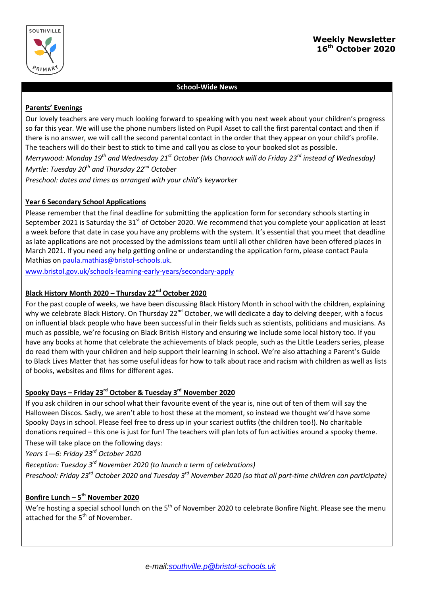

# **School-Wide News**

### **Parents' Evenings**

Our lovely teachers are very much looking forward to speaking with you next week about your children's progress so far this year. We will use the phone numbers listed on Pupil Asset to call the first parental contact and then if there is no answer, we will call the second parental contact in the order that they appear on your child's profile. The teachers will do their best to stick to time and call you as close to your booked slot as possible. *Merrywood: Monday 19th and Wednesday 21st October (Ms Charnock will do Friday 23rd instead of Wednesday) Myrtle: Tuesday 20th and Thursday 22nd October Preschool: dates and times as arranged with your child's keyworker*

# **Year 6 Secondary School Applications**

Please remember that the final deadline for submitting the application form for secondary schools starting in September 2021 is Saturday the  $31<sup>st</sup>$  of October 2020. We recommend that you complete your application at least a week before that date in case you have any problems with the system. It's essential that you meet that deadline as late applications are not processed by the admissions team until all other children have been offered places in March 2021. If you need any help getting online or understanding the application form, please contact Paula Mathias on [paula.mathias@bristol-schools.uk.](mailto:paula.mathias@bristol-schools.uk)

[www.bristol.gov.uk/schools-learning-early-years/secondary-apply](http://www.bristol.gov.uk/schools-learning-early-years/secondary-apply)

### **Black History Month 2020 – Thursday 22nd October 2020**

For the past couple of weeks, we have been discussing Black History Month in school with the children, explaining why we celebrate Black History. On Thursday 22<sup>nd</sup> October, we will dedicate a day to delving deeper, with a focus on influential black people who have been successful in their fields such as scientists, politicians and musicians. As much as possible, we're focusing on Black British History and ensuring we include some local history too. If you have any books at home that celebrate the achievements of black people, such as the Little Leaders series, please do read them with your children and help support their learning in school. We're also attaching a Parent's Guide to Black Lives Matter that has some useful ideas for how to talk about race and racism with children as well as lists of books, websites and films for different ages.

# **Spooky Days – Friday 23rd October & Tuesday 3rd November 2020**

If you ask children in our school what their favourite event of the year is, nine out of ten of them will say the Halloween Discos. Sadly, we aren't able to host these at the moment, so instead we thought we'd have some Spooky Days in school. Please feel free to dress up in your scariest outfits (the children too!). No charitable donations required – this one is just for fun! The teachers will plan lots of fun activities around a spooky theme. These will take place on the following days:

*Years 1—6: Friday 23rd October 2020*

*Reception: Tuesday 3rd November 2020 (to launch a term of celebrations)*

*Preschool: Friday 23rd October 2020 and Tuesday 3rd November 2020 (so that all part-time children can participate)*

## **Bonfire Lunch – 5 th November 2020**

We're hosting a special school lunch on the 5<sup>th</sup> of November 2020 to celebrate Bonfire Night. Please see the menu attached for the  $5<sup>th</sup>$  of November.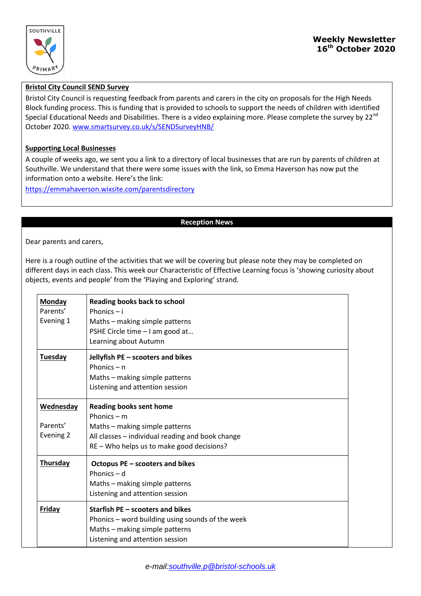

# **Bristol City Council SEND Survey**

Bristol City Council is requesting feedback from parents and carers in the city on proposals for the High Needs Block funding process. This is funding that is provided to schools to support the needs of children with identified Special Educational Needs and Disabilities. There is a video explaining more. Please complete the survey by 22<sup>nd</sup> October 2020[. www.smartsurvey.co.uk/s/SENDSurveyHNB/](http://www.smartsurvey.co.uk/s/SENDSurveyHNB/)

#### **Supporting Local Businesses**

A couple of weeks ago, we sent you a link to a directory of local businesses that are run by parents of children at Southville. We understand that there were some issues with the link, so Emma Haverson has now put the information onto a website. Here's the link:

<https://emmahaverson.wixsite.com/parentsdirectory>

#### **Reception News**

Dear parents and carers,

Here is a rough outline of the activities that we will be covering but please note they may be completed on different days in each class. This week our Characteristic of Effective Learning focus is 'showing curiosity about objects, events and people' from the 'Playing and Exploring' strand.

| <b>Monday</b><br>Parents'<br>Evening 1 | <b>Reading books back to school</b><br>Phonics $- i$<br>Maths - making simple patterns<br>PSHE Circle time - I am good at<br>Learning about Autumn                                 |
|----------------------------------------|------------------------------------------------------------------------------------------------------------------------------------------------------------------------------------|
| <b>Tuesday</b>                         | Jellyfish PE - scooters and bikes<br>Phonics $-$ n<br>Maths - making simple patterns<br>Listening and attention session                                                            |
| Wednesday<br>Parents'<br>Evening 2     | <b>Reading books sent home</b><br>Phonics $-$ m<br>Maths - making simple patterns<br>All classes - individual reading and book change<br>RE - Who helps us to make good decisions? |
| <b>Thursday</b>                        | Octopus PE - scooters and bikes<br>Phonics – d<br>Maths - making simple patterns<br>Listening and attention session                                                                |
| Friday                                 | Starfish PE – scooters and bikes<br>Phonics – word building using sounds of the week<br>Maths - making simple patterns<br>Listening and attention session                          |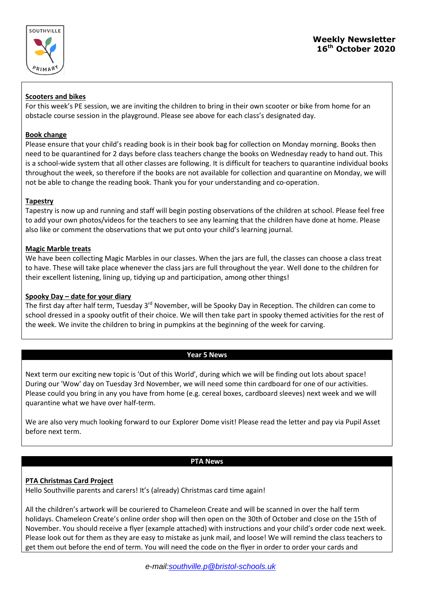

### **Scooters and bikes**

For this week's PE session, we are inviting the children to bring in their own scooter or bike from home for an obstacle course session in the playground. Please see above for each class's designated day.

## **Book change**

Please ensure that your child's reading book is in their book bag for collection on Monday morning. Books then need to be quarantined for 2 days before class teachers change the books on Wednesday ready to hand out. This is a school-wide system that all other classes are following. It is difficult for teachers to quarantine individual books throughout the week, so therefore if the books are not available for collection and quarantine on Monday, we will not be able to change the reading book. Thank you for your understanding and co-operation.

# **Tapestry**

Tapestry is now up and running and staff will begin posting observations of the children at school. Please feel free to add your own photos/videos for the teachers to see any learning that the children have done at home. Please also like or comment the observations that we put onto your child's learning journal.

### **Magic Marble treats**

We have been collecting Magic Marbles in our classes. When the jars are full, the classes can choose a class treat to have. These will take place whenever the class jars are full throughout the year. Well done to the children for their excellent listening, lining up, tidying up and participation, among other things!

### **Spooky Day – date for your diary**

The first day after half term, Tuesday 3<sup>rd</sup> November, will be Spooky Day in Reception. The children can come to school dressed in a spooky outfit of their choice. We will then take part in spooky themed activities for the rest of the week. We invite the children to bring in pumpkins at the beginning of the week for carving.

# **Year 5 News**

Next term our exciting new topic is 'Out of this World', during which we will be finding out lots about space! During our 'Wow' day on Tuesday 3rd November, we will need some thin cardboard for one of our activities. Please could you bring in any you have from home (e.g. cereal boxes, cardboard sleeves) next week and we will quarantine what we have over half-term.

We are also very much looking forward to our Explorer Dome visit! Please read the letter and pay via Pupil Asset before next term.

#### **PTA News**

# **PTA Christmas Card Project**

Hello Southville parents and carers! It's (already) Christmas card time again!

All the children's artwork will be couriered to Chameleon Create and will be scanned in over the half term holidays. Chameleon Create's online order shop will then open on the 30th of October and close on the 15th of November. You should receive a flyer (example attached) with instructions and your child's order code next week. Please look out for them as they are easy to mistake as junk mail, and loose! We will remind the class teachers to get them out before the end of term. You will need the code on the flyer in order to order your cards and